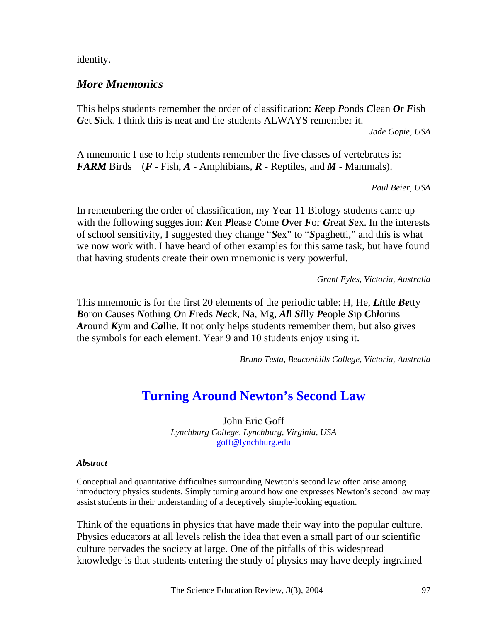identity.

## *More Mnemonics*

This helps students remember the order of classification: *K*eep *P*onds *C*lean *O*r *F*ish *G*et *S*ick. I think this is neat and the students ALWAYS remember it.

*Jade Gopie, USA* 

A mnemonic I use to help students remember the five classes of vertebrates is: *FARM* Birds (*F* - Fish, *A* - Amphibians, *R* - Reptiles, and *M* - Mammals).

*Paul Beier, USA*

In remembering the order of classification, my Year 11 Biology students came up with the following suggestion: *K*en *P*lease *C*ome *O*ver *F*or *G*reat *S*ex. In the interests of school sensitivity, I suggested they change "*S*ex" to "*S*paghetti," and this is what we now work with. I have heard of other examples for this same task, but have found that having students create their own mnemonic is very powerful.

*Grant Eyles, Victoria, Australia*

This mnemonic is for the first 20 elements of the periodic table: H, He, *Li*ttle *Be*tty *B*oron *C*auses *N*othing *O*n *F*reds *Ne*ck, Na, Mg, *Al*l *Si*lly *P*eople *S*ip *C*h*l*orins *Ar*ound *K*ym and *Ca*llie. It not only helps students remember them, but also gives the symbols for each element. Year 9 and 10 students enjoy using it.

*Bruno Testa, Beaconhills College, Victoria, Australia*

# **Turning Around Newton's Second Law**

John Eric Goff *Lynchburg College, Lynchburg, Virginia, USA* goff@lynchburg.edu

### *Abstract*

Conceptual and quantitative difficulties surrounding Newton's second law often arise among introductory physics students. Simply turning around how one expresses Newton's second law may assist students in their understanding of a deceptively simple-looking equation.

Think of the equations in physics that have made their way into the popular culture. Physics educators at all levels relish the idea that even a small part of our scientific culture pervades the society at large. One of the pitfalls of this widespread knowledge is that students entering the study of physics may have deeply ingrained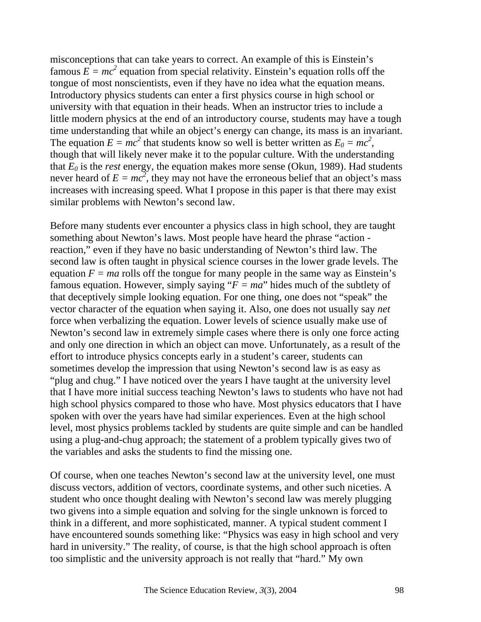misconceptions that can take years to correct. An example of this is Einstein's famous  $\vec{E} = mc^2$  equation from special relativity. Einstein's equation rolls off the tongue of most nonscientists, even if they have no idea what the equation means. Introductory physics students can enter a first physics course in high school or university with that equation in their heads. When an instructor tries to include a little modern physics at the end of an introductory course, students may have a tough time understanding that while an object's energy can change, its mass is an invariant. The equation  $E = mc^2$  that students know so well is better written as  $E_0 = mc^2$ , though that will likely never make it to the popular culture. With the understanding that  $E_0$  is the *rest* energy, the equation makes more sense (Okun, 1989). Had students never heard of  $E = mc^2$ , they may not have the erroneous belief that an object's mass increases with increasing speed. What I propose in this paper is that there may exist similar problems with Newton's second law.

Before many students ever encounter a physics class in high school, they are taught something about Newton's laws. Most people have heard the phrase "action reaction," even if they have no basic understanding of Newton's third law. The second law is often taught in physical science courses in the lower grade levels. The equation  $F = ma$  rolls off the tongue for many people in the same way as Einstein's famous equation. However, simply saying " $F = ma$ " hides much of the subtlety of that deceptively simple looking equation. For one thing, one does not "speak" the vector character of the equation when saying it. Also, one does not usually say *net* force when verbalizing the equation. Lower levels of science usually make use of Newton's second law in extremely simple cases where there is only one force acting and only one direction in which an object can move. Unfortunately, as a result of the effort to introduce physics concepts early in a student's career, students can sometimes develop the impression that using Newton's second law is as easy as "plug and chug." I have noticed over the years I have taught at the university level that I have more initial success teaching Newton's laws to students who have not had high school physics compared to those who have. Most physics educators that I have spoken with over the years have had similar experiences. Even at the high school level, most physics problems tackled by students are quite simple and can be handled using a plug-and-chug approach; the statement of a problem typically gives two of the variables and asks the students to find the missing one.

Of course, when one teaches Newton's second law at the university level, one must discuss vectors, addition of vectors, coordinate systems, and other such niceties. A student who once thought dealing with Newton's second law was merely plugging two givens into a simple equation and solving for the single unknown is forced to think in a different, and more sophisticated, manner. A typical student comment I have encountered sounds something like: "Physics was easy in high school and very hard in university." The reality, of course, is that the high school approach is often too simplistic and the university approach is not really that "hard." My own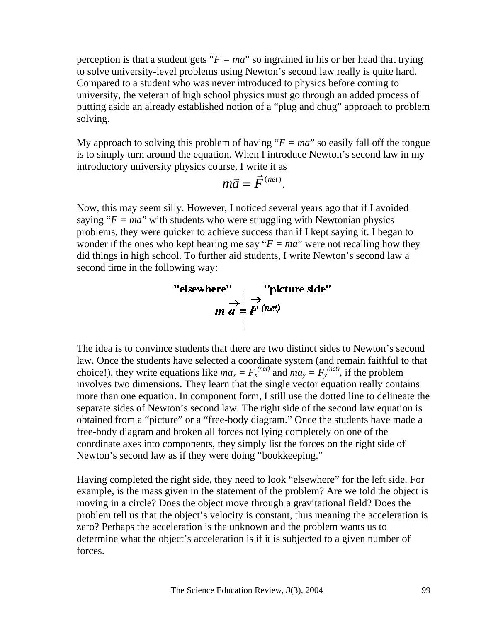perception is that a student gets " $F = ma$ " so ingrained in his or her head that trying to solve university-level problems using Newton's second law really is quite hard. Compared to a student who was never introduced to physics before coming to university, the veteran of high school physics must go through an added process of putting aside an already established notion of a "plug and chug" approach to problem solving.

My approach to solving this problem of having " $F = ma$ " so easily fall off the tongue is to simply turn around the equation. When I introduce Newton's second law in my introductory university physics course, I write it as

$$
m\vec{a} = \vec{F}^{(net)}.
$$

Now, this may seem silly. However, I noticed several years ago that if I avoided saying " $F = ma$ " with students who were struggling with Newtonian physics problems, they were quicker to achieve success than if I kept saying it. I began to wonder if the ones who kept hearing me say " $F = ma$ " were not recalling how they did things in high school. To further aid students, I write Newton's second law a second time in the following way:

"elsewhere"  
\n
$$
m \overrightarrow{a} \neq \overrightarrow{F^{(net)}}
$$

The idea is to convince students that there are two distinct sides to Newton's second law. Once the students have selected a coordinate system (and remain faithful to that choice!), they write equations like  $ma_x = F_x^{(net)}$  and  $ma_y = F_y^{(net)}$ , if the problem involves two dimensions. They learn that the single vector equation really contains more than one equation. In component form, I still use the dotted line to delineate the separate sides of Newton's second law. The right side of the second law equation is obtained from a "picture" or a "free-body diagram." Once the students have made a free-body diagram and broken all forces not lying completely on one of the coordinate axes into components, they simply list the forces on the right side of Newton's second law as if they were doing "bookkeeping."

Having completed the right side, they need to look "elsewhere" for the left side. For example, is the mass given in the statement of the problem? Are we told the object is moving in a circle? Does the object move through a gravitational field? Does the problem tell us that the object's velocity is constant, thus meaning the acceleration is zero? Perhaps the acceleration is the unknown and the problem wants us to determine what the object's acceleration is if it is subjected to a given number of forces.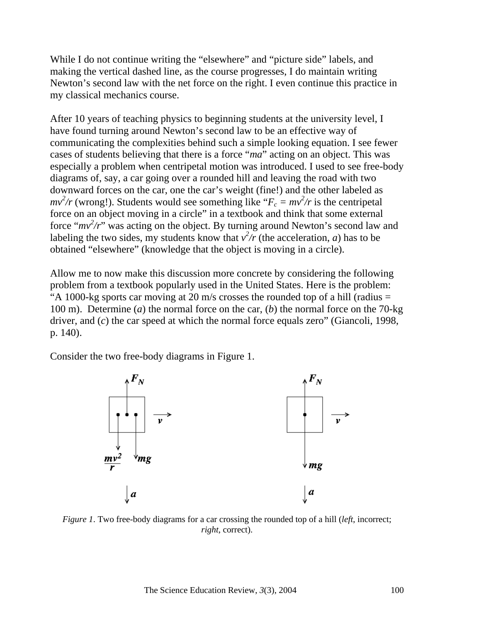While I do not continue writing the "elsewhere" and "picture side" labels, and making the vertical dashed line, as the course progresses, I do maintain writing Newton's second law with the net force on the right. I even continue this practice in my classical mechanics course.

After 10 years of teaching physics to beginning students at the university level, I have found turning around Newton's second law to be an effective way of communicating the complexities behind such a simple looking equation. I see fewer cases of students believing that there is a force "*ma*" acting on an object. This was especially a problem when centripetal motion was introduced. I used to see free-body diagrams of, say, a car going over a rounded hill and leaving the road with two downward forces on the car, one the car's weight (fine!) and the other labeled as  $mv^2/r$  (wrong!). Students would see something like " $F_c = mv^2/r$  is the centripetal force on an object moving in a circle" in a textbook and think that some external force " $mv^2/r$ " was acting on the object. By turning around Newton's second law and labeling the two sides, my students know that  $v^2/r$  (the acceleration, *a*) has to be obtained "elsewhere" (knowledge that the object is moving in a circle).

Allow me to now make this discussion more concrete by considering the following problem from a textbook popularly used in the United States. Here is the problem: "A 1000-kg sports car moving at 20 m/s crosses the rounded top of a hill (radius  $=$ 100 m). Determine (*a*) the normal force on the car, (*b*) the normal force on the 70-kg driver, and (*c*) the car speed at which the normal force equals zero" (Giancoli, 1998, p. 140).

Consider the two free-body diagrams in Figure 1.



*Figure 1*. Two free-body diagrams for a car crossing the rounded top of a hill *(left*, incorrect; *right*, correct).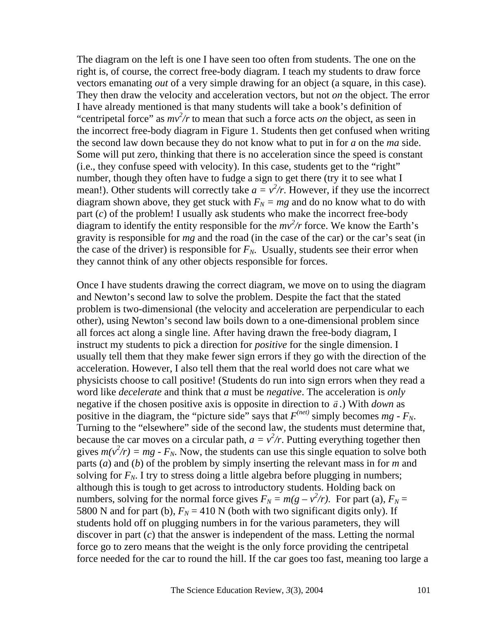The diagram on the left is one I have seen too often from students. The one on the right is, of course, the correct free-body diagram. I teach my students to draw force vectors emanating *out* of a very simple drawing for an object (a square, in this case). They then draw the velocity and acceleration vectors, but not *on* the object. The error I have already mentioned is that many students will take a book's definition of "centripetal force" as  $mv^2/r$  to mean that such a force acts *on* the object, as seen in the incorrect free-body diagram in Figure 1. Students then get confused when writing the second law down because they do not know what to put in for *a* on the *ma* side. Some will put zero, thinking that there is no acceleration since the speed is constant (i.e., they confuse speed with velocity). In this case, students get to the "right" number, though they often have to fudge a sign to get there (try it to see what I mean!). Other students will correctly take  $a = v^2/r$ . However, if they use the incorrect diagram shown above, they get stuck with  $F_N = mg$  and do no know what to do with part (*c*) of the problem! I usually ask students who make the incorrect free-body diagram to identify the entity responsible for the  $mv^2/r$  force. We know the Earth's gravity is responsible for *mg* and the road (in the case of the car) or the car's seat (in the case of the driver) is responsible for  $F_N$ . Usually, students see their error when they cannot think of any other objects responsible for forces.

Once I have students drawing the correct diagram, we move on to using the diagram and Newton's second law to solve the problem. Despite the fact that the stated problem is two-dimensional (the velocity and acceleration are perpendicular to each other), using Newton's second law boils down to a one-dimensional problem since all forces act along a single line. After having drawn the free-body diagram, I instruct my students to pick a direction for *positive* for the single dimension. I usually tell them that they make fewer sign errors if they go with the direction of the acceleration. However, I also tell them that the real world does not care what we physicists choose to call positive! (Students do run into sign errors when they read a word like *decelerate* and think that *a* must be *negative*. The acceleration is *only* negative if the chosen positive axis is opposite in direction to  $\vec{a}$ .) With *down* as positive in the diagram, the "picture side" says that  $F^{(net)}$  simply becomes  $mg - F_N$ . Turning to the "elsewhere" side of the second law, the students must determine that, because the car moves on a circular path,  $a = v^2/r$ . Putting everything together then gives  $m(v^2/r) = mg - F_N$ . Now, the students can use this single equation to solve both parts (*a*) and (*b*) of the problem by simply inserting the relevant mass in for *m* and solving for  $F_N$ . I try to stress doing a little algebra before plugging in numbers; although this is tough to get across to introductory students. Holding back on numbers, solving for the normal force gives  $F_N = m(g - v^2/r)$ . For part (a),  $F_N =$ 5800 N and for part (b),  $F_N = 410$  N (both with two significant digits only). If students hold off on plugging numbers in for the various parameters, they will discover in part (*c*) that the answer is independent of the mass. Letting the normal force go to zero means that the weight is the only force providing the centripetal force needed for the car to round the hill. If the car goes too fast, meaning too large a